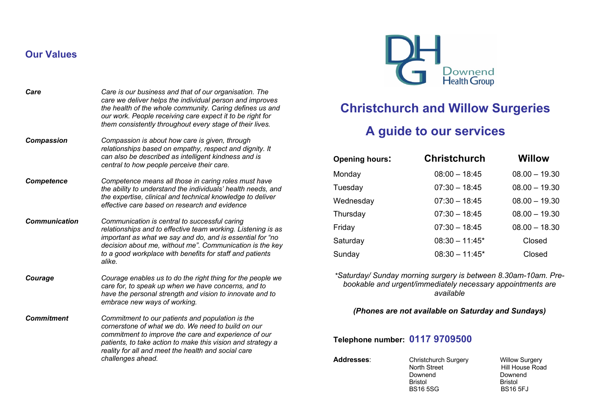# **Our Values**

| Care                 | Care is our business and that of our organisation. The<br>care we deliver helps the individual person and improves<br>the health of the whole community. Caring defines us and<br>our work. People receiving care expect it to be right for<br>them consistently throughout every stage of their lives.      |
|----------------------|--------------------------------------------------------------------------------------------------------------------------------------------------------------------------------------------------------------------------------------------------------------------------------------------------------------|
| <b>Compassion</b>    | Compassion is about how care is given, through<br>relationships based on empathy, respect and dignity. It<br>can also be described as intelligent kindness and is<br>central to how people perceive their care.                                                                                              |
| <b>Competence</b>    | Competence means all those in caring roles must have<br>the ability to understand the individuals' health needs, and<br>the expertise, clinical and technical knowledge to deliver<br>effective care based on research and evidence                                                                          |
| <b>Communication</b> | Communication is central to successful caring<br>relationships and to effective team working. Listening is as<br>important as what we say and do, and is essential for "no<br>decision about me, without me". Communication is the key<br>to a good workplace with benefits for staff and patients<br>alike. |
| Courage              | Courage enables us to do the right thing for the people we<br>care for, to speak up when we have concerns, and to<br>have the personal strength and vision to innovate and to<br>embrace new ways of working.                                                                                                |
| <b>Commitment</b>    | Commitment to our patients and population is the<br>cornerstone of what we do. We need to build on our<br>commitment to improve the care and experience of our<br>patients, to take action to make this vision and strategy a<br>reality for all and meet the health and social care<br>challenges ahead.    |



# **Christchurch and Willow Surgeries**

# **A guide to our services**

| <b>Opening hours:</b> | <b>Christchurch</b> | <b>Willow</b>   |
|-----------------------|---------------------|-----------------|
| Monday                | $08:00 - 18:45$     | $08.00 - 19.30$ |
| Tuesday               | $07:30 - 18:45$     | $08.00 - 19.30$ |
| Wednesday             | $07:30 - 18:45$     | $08.00 - 19.30$ |
| Thursday              | $07:30 - 18:45$     | $08.00 - 19.30$ |
| Friday                | $07:30 - 18:45$     | $08.00 - 18.30$ |
| Saturday              | $08:30 - 11:45*$    | Closed          |
| Sunday                | $08:30 - 11:45*$    | Closed          |
|                       |                     |                 |

*\*Saturday/ Sunday morning surgery is between 8.30am-10am. Prebookable and urgent/immediately necessary appointments are available*

## *(Phones are not available on Saturday and Sundays)*

**Telephone number: 0117 9709500**

| <b>Addresses:</b> | Christchurch Surgery<br>North Street<br>Downend<br><b>Bristol</b><br><b>BS165SG</b> | <b>Willow Surgery</b><br>Hill House Road<br>Downend<br><b>Bristol</b><br><b>BS16 5FJ</b> |
|-------------------|-------------------------------------------------------------------------------------|------------------------------------------------------------------------------------------|
|                   |                                                                                     |                                                                                          |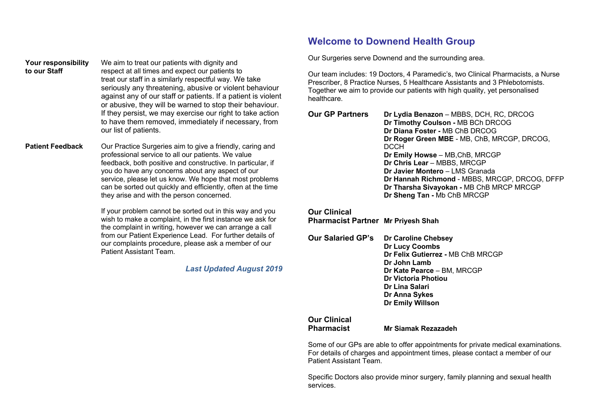**Your responsibility** We aim to treat our patients with dignity and **to our Staff** respect at all times and expect our patients to treat our staff in a similarly respectful way. We take seriously any threatening, abusive or violent behaviour against any of our staff or patients. If a patient is violent or abusive, they will be warned to stop their behaviour. If they persist, we may exercise our right to take action to have them removed, immediately if necessary, from our list of patients.

**Patient Feedback** Our Practice Surgeries aim to give a friendly, caring and professional service to all our patients. We value feedback, both positive and constructive. In particular, if you do have any concerns about any aspect of our service, please let us know. We hope that most problems can be sorted out quickly and efficiently, often at the time they arise and with the person concerned.

> If your problem cannot be sorted out in this way and you wish to make a complaint, in the first instance we ask for the complaint in writing, however we can arrange a call from our Patient Experience Lead. For further details of our complaints procedure, please ask a member of our Patient Assistant Team.

> > *Last Updated August 2019*

# **Welcome to Downend Health Group**

Our Surgeries serve Downend and the surrounding area.

Our team includes: 19 Doctors, 4 Paramedic's, two Clinical Pharmacists, a Nurse Prescriber, 8 Practice Nurses, 5 Healthcare Assistants and 3 Phlebotomists. Together we aim to provide our patients with high quality, yet personalised healthcare.

| Dr Lydia Benazon - MBBS, DCH, RC, DRCOG       |
|-----------------------------------------------|
| Dr Timothy Coulson - MB BCh DRCOG             |
| Dr Diana Foster - MB ChB DRCOG                |
| Dr Roger Green MBE - MB, ChB, MRCGP, DRCOG,   |
| <b>DCCH</b>                                   |
| Dr Emily Howse - MB, ChB, MRCGP               |
| Dr Chris Lear - MBBS, MRCGP                   |
| Dr Javier Montero - LMS Granada               |
| Dr Hannah Richmond - MBBS, MRCGP, DRCOG, DFFP |
| Dr Tharsha Sivayokan - MB ChB MRCP MRCGP      |
| Dr Sheng Tan - Mb ChB MRCGP                   |
|                                               |

**Our Clinical Pharmacist Partner Mr Priyesh Shah**

**Our Salaried GP's Dr Caroline Chebsey Dr Lucy Coombs Dr Felix Gutierrez -** MB ChB MRCGP **Dr John Lamb Dr Kate Pearce** – BM, MRCGP **Dr Victoria Photiou Dr Lina Salari Dr Anna Sykes Dr Emily Willson**

# **Our Clinical**

**Pharmacist Mr Siamak Rezazadeh**

Some of our GPs are able to offer appointments for private medical examinations. For details of charges and appointment times, please contact a member of our Patient Assistant Team.

Specific Doctors also provide minor surgery, family planning and sexual health services.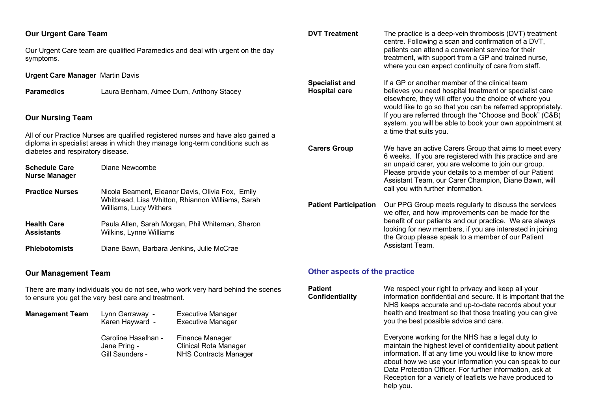| <b>Our Urgent Care Team</b><br>symptoms.                                                                                                                                                                | Our Urgent Care team are qualified Paramedics and deal with urgent on the day | <b>DVT Treatment</b>                          | The practice is a deep-vein thrombosis (DVT) treatment<br>centre. Following a scan and confirmation of a DVT,<br>patients can attend a convenient service for their<br>treatment, with support from a GP and trained nurse,<br>where you can expect continuity of care from staff. |
|---------------------------------------------------------------------------------------------------------------------------------------------------------------------------------------------------------|-------------------------------------------------------------------------------|-----------------------------------------------|------------------------------------------------------------------------------------------------------------------------------------------------------------------------------------------------------------------------------------------------------------------------------------|
| <b>Urgent Care Manager Martin Davis</b>                                                                                                                                                                 |                                                                               |                                               |                                                                                                                                                                                                                                                                                    |
| <b>Paramedics</b>                                                                                                                                                                                       | Laura Benham, Aimee Durn, Anthony Stacey                                      | <b>Specialist and</b><br><b>Hospital care</b> | If a GP or another member of the clinical team<br>believes you need hospital treatment or specialist care<br>elsewhere, they will offer you the choice of where you<br>would like to go so that you can be referred appropriately.                                                 |
| <b>Our Nursing Team</b>                                                                                                                                                                                 |                                                                               |                                               | If you are referred through the "Choose and Book" (C&B)<br>system. you will be able to book your own appointment at                                                                                                                                                                |
| All of our Practice Nurses are qualified registered nurses and have also gained a<br>diploma in specialist areas in which they manage long-term conditions such as<br>diabetes and respiratory disease. |                                                                               | <b>Carers Group</b>                           | a time that suits you.<br>We have an active Carers Group that aims to meet every<br>6 weeks. If you are registered with this practice and are                                                                                                                                      |
| <b>Schedule Care</b><br><b>Nurse Manager</b>                                                                                                                                                            | Diane Newcombe                                                                |                                               | an unpaid carer, you are welcome to join our group.<br>Please provide your details to a member of our Patient<br>Assistant Team, our Carer Champion, Diane Bawn, will                                                                                                              |
| <b>Practice Nurses</b>                                                                                                                                                                                  | Nicola Beament, Eleanor Davis, Olivia Fox, Emily                              |                                               | call you with further information.                                                                                                                                                                                                                                                 |
|                                                                                                                                                                                                         | Whitbread, Lisa Whitton, Rhiannon Williams, Sarah<br>Williams, Lucy Withers   | <b>Patient Participation</b>                  | Our PPG Group meets regularly to discuss the services<br>we offer, and how improvements can be made for the                                                                                                                                                                        |
| <b>Health Care</b><br><b>Assistants</b>                                                                                                                                                                 | Paula Allen, Sarah Morgan, Phil Whiteman, Sharon<br>Wilkins, Lynne Williams   |                                               | benefit of our patients and our practice. We are always<br>looking for new members, if you are interested in joining<br>the Group please speak to a member of our Patient                                                                                                          |
| <b>Phlebotomists</b>                                                                                                                                                                                    | Diane Bawn, Barbara Jenkins, Julie McCrae                                     |                                               | Assistant Team.                                                                                                                                                                                                                                                                    |

# **Our Management Team**

There are many individuals you do not see, who work very hard behind the scenes to ensure you get the very best care and treatment.

**Management Team** Lynn Garraway - Executive Manager<br>Karen Hayward - Executive Manager Executive Manager

Caroline Haselhan - Finance Manager<br>Jane Pring - Clinical Rota Mana Jane Pring - Clinical Rota Manager<br>Gill Saunders - NHS Contracts Manage NHS Contracts Manager

# **Other aspects of the practice**

| Patient<br>Confidentiality | We respect your right to privacy and keep all your<br>information confidential and secure. It is important that the<br>NHS keeps accurate and up-to-date records about your<br>health and treatment so that those treating you can give<br>you the best possible advice and care.                                                                                        |
|----------------------------|--------------------------------------------------------------------------------------------------------------------------------------------------------------------------------------------------------------------------------------------------------------------------------------------------------------------------------------------------------------------------|
|                            | Everyone working for the NHS has a legal duty to<br>maintain the highest level of confidentiality about patient<br>information. If at any time you would like to know more<br>about how we use your information you can speak to our<br>Data Protection Officer. For further information, ask at<br>Reception for a variety of leaflets we have produced to<br>help you. |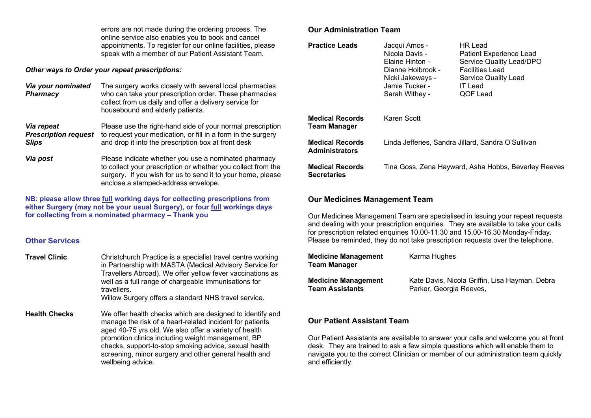errors are not made during the ordering process. The online service also enables you to book and cancel appointments. To register for our online facilities, please speak with a member of our Patient Assistant Team.

#### *Other ways to Order your repeat prescriptions:*

| Via your nominated<br><b>Pharmacy</b>                     | The surgery works closely with several local pharmacies<br>who can take your prescription order. These pharmacies<br>collect from us daily and offer a delivery service for<br>housebound and elderly patients.            |
|-----------------------------------------------------------|----------------------------------------------------------------------------------------------------------------------------------------------------------------------------------------------------------------------------|
| Via repeat<br><b>Prescription request</b><br><b>Slips</b> | Please use the right-hand side of your normal prescription<br>to request your medication, or fill in a form in the surgery<br>and drop it into the prescription box at front desk                                          |
| Via post                                                  | Please indicate whether you use a nominated pharmacy<br>to collect your prescription or whether you collect from the<br>surgery. If you wish for us to send it to your home, please<br>enclose a stamped-address envelope. |

**NB: please allow three full working days for collecting prescriptions from either Surgery (may not be your usual Surgery), or four full workings days for collecting from a nominated pharmacy – Thank you**

#### **Other Services**

**Travel Clinic** Christchurch Practice is a specialist travel centre working in Partnership with MASTA (Medical Advisory Service for Travellers Abroad). We offer yellow fever vaccinations as well as a full range of chargeable immunisations for travellers. Willow Surgery offers a standard NHS travel service.

**Health Checks** We offer health checks which are designed to identify and manage the risk of a heart-related incident for patients aged 40-75 yrs old. We also offer a variety of health promotion clinics including weight management, BP checks, support-to-stop smoking advice, sexual health screening, minor surgery and other general health and wellbeing advice.

## **Our Administration Team**

| <b>Practice Leads</b>                           | Jacqui Amos -<br>Nicola Davis -<br>Elaine Hinton -<br>Dianne Holbrook -<br>Nicki Jakeways -<br>Jamie Tucker -<br>Sarah Withey - | HR Lead<br><b>Patient Experience Lead</b><br>Service Quality Lead/DPO<br><b>Facilities Lead</b><br>Service Quality Lead<br><b>IT Lead</b><br>QOF Lead |
|-------------------------------------------------|---------------------------------------------------------------------------------------------------------------------------------|-------------------------------------------------------------------------------------------------------------------------------------------------------|
| <b>Medical Records</b><br><b>Team Manager</b>   | Karen Scott                                                                                                                     |                                                                                                                                                       |
| <b>Medical Records</b><br><b>Administrators</b> | Linda Jefferies, Sandra Jillard, Sandra O'Sullivan                                                                              |                                                                                                                                                       |
| <b>Medical Records</b><br><b>Secretaries</b>    |                                                                                                                                 | Tina Goss, Zena Hayward, Asha Hobbs, Beverley Reeves                                                                                                  |

#### **Our Medicines Management Team**

Our Medicines Management Team are specialised in issuing your repeat requests and dealing with your prescription enquiries. They are available to take your calls for prescription related enquiries 10.00-11.30 and 15.00-16.30 Monday-Friday. Please be reminded, they do not take prescription requests over the telephone.

| <b>Medicine Management</b><br>Team Manager | Karma Hughes                                   |
|--------------------------------------------|------------------------------------------------|
| <b>Medicine Management</b>                 | Kate Davis, Nicola Griffin, Lisa Hayman, Debra |
| Team Assistants                            | Parker, Georgia Reeves,                        |

#### **Our Patient Assistant Team**

Our Patient Assistants are available to answer your calls and welcome you at front desk. They are trained to ask a few simple questions which will enable them to navigate you to the correct Clinician or member of our administration team quickly and efficiently.